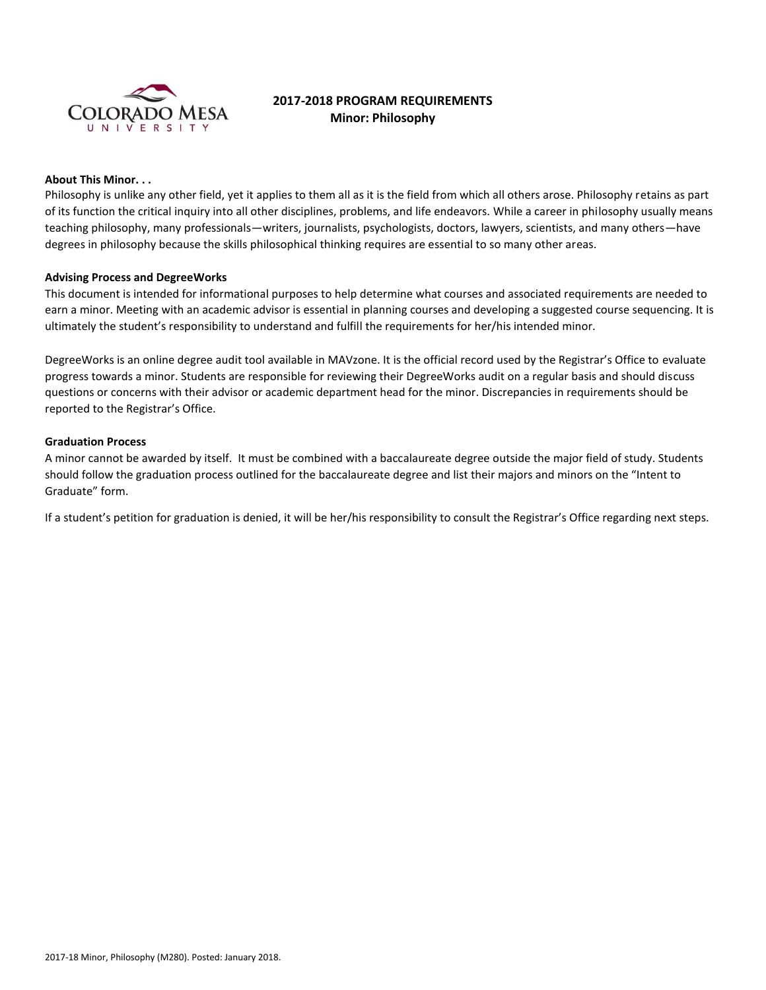

# **2017-2018 PROGRAM REQUIREMENTS Minor: Philosophy**

# **About This Minor. . .**

Philosophy is unlike any other field, yet it applies to them all as it is the field from which all others arose. Philosophy retains as part of its function the critical inquiry into all other disciplines, problems, and life endeavors. While a career in philosophy usually means teaching philosophy, many professionals—writers, journalists, psychologists, doctors, lawyers, scientists, and many others—have degrees in philosophy because the skills philosophical thinking requires are essential to so many other areas.

#### **Advising Process and DegreeWorks**

This document is intended for informational purposes to help determine what courses and associated requirements are needed to earn a minor. Meeting with an academic advisor is essential in planning courses and developing a suggested course sequencing. It is ultimately the student's responsibility to understand and fulfill the requirements for her/his intended minor.

DegreeWorks is an online degree audit tool available in MAVzone. It is the official record used by the Registrar's Office to evaluate progress towards a minor. Students are responsible for reviewing their DegreeWorks audit on a regular basis and should discuss questions or concerns with their advisor or academic department head for the minor. Discrepancies in requirements should be reported to the Registrar's Office.

#### **Graduation Process**

A minor cannot be awarded by itself. It must be combined with a baccalaureate degree outside the major field of study. Students should follow the graduation process outlined for the baccalaureate degree and list their majors and minors on the "Intent to Graduate" form.

If a student's petition for graduation is denied, it will be her/his responsibility to consult the Registrar's Office regarding next steps.